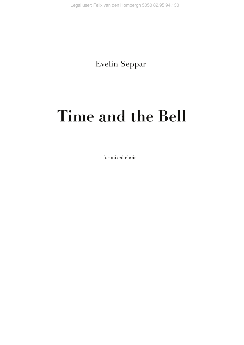Evelin Seppar

## **Time and the Bell**

for mixed choir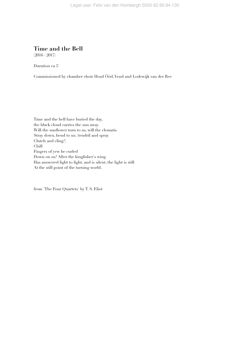## **Time and the Bell**

**(**2016 / 2017)

Duration ca 5'

Commissioned by chamber choir Head Ööd, Vend and Lodewijk van der Ree

Time and the bell have buried the day, the black cloud carries the sun away. Will the sunflower turn to us, will the clematis Stray down, bend to us; (tendril and spray Clutch and cling?) Chill Fingers of yew be curled Down on us? After the kingfisher's wing Has answered light to light, and is silent, the light is still At the still point of the turning world.

from 'The Four Quartets' by T. S. Eliot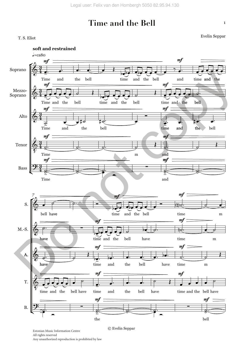## **Time and the Bell**

T. S. Eliot Evelin Seppar



Estonian Music Information Centre All rights reserved Any unauthorized reproduction is prohibited by law 1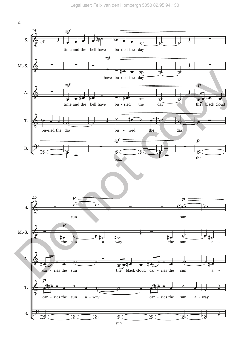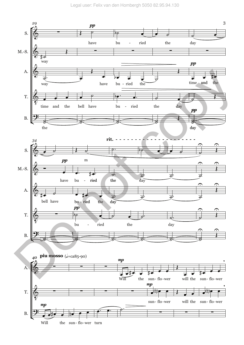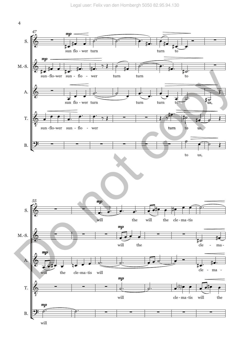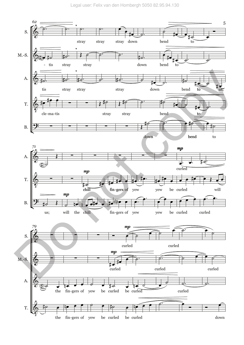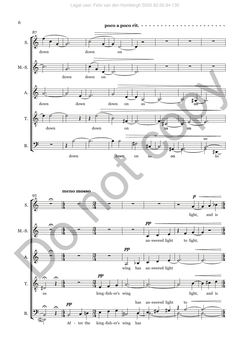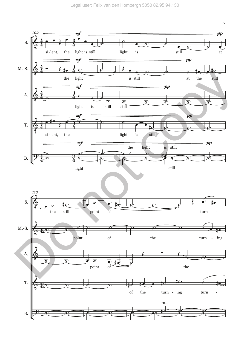![](_page_8_Figure_1.jpeg)